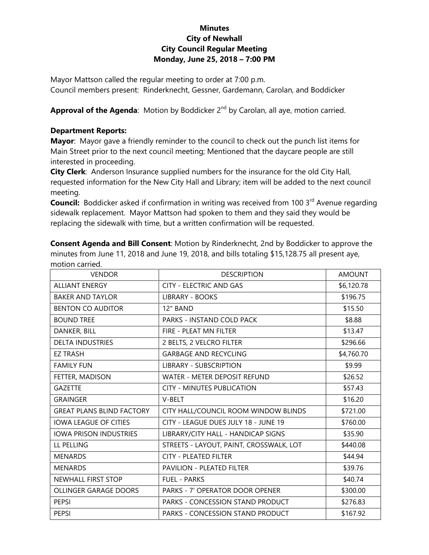## **Minutes City of Newhall City Council Regular Meeting Monday, June 25, 2018 – 7:00 PM**

Mayor Mattson called the regular meeting to order at 7:00 p.m. Council members present: Rinderknecht, Gessner, Gardemann, Carolan, and Boddicker

Approval of the Agenda: Motion by Boddicker 2<sup>nd</sup> by Carolan, all aye, motion carried.

## **Department Reports:**

**Mayor**: Mayor gave a friendly reminder to the council to check out the punch list items for Main Street prior to the next council meeting; Mentioned that the daycare people are still interested in proceeding.

**City Clerk**: Anderson Insurance supplied numbers for the insurance for the old City Hall, requested information for the New City Hall and Library; item will be added to the next council meeting.

**Council:** Boddicker asked if confirmation in writing was received from 100 3<sup>rd</sup> Avenue regarding sidewalk replacement. Mayor Mattson had spoken to them and they said they would be replacing the sidewalk with time, but a written confirmation will be requested.

**Consent Agenda and Bill Consent**: Motion by Rinderknecht, 2nd by Boddicker to approve the minutes from June 11, 2018 and June 19, 2018, and bills totaling \$15,128.75 all present aye, motion carried.

| <b>VENDOR</b>                    | <b>DESCRIPTION</b>                      | <b>AMOUNT</b> |
|----------------------------------|-----------------------------------------|---------------|
| <b>ALLIANT ENERGY</b>            | <b>CITY - ELECTRIC AND GAS</b>          | \$6,120.78    |
| <b>BAKER AND TAYLOR</b>          | <b>LIBRARY - BOOKS</b>                  | \$196.75      |
| <b>BENTON CO AUDITOR</b>         | 12" BAND                                | \$15.50       |
| <b>BOUND TREE</b>                | PARKS - INSTAND COLD PACK               | \$8.88        |
| DANKER, BILL                     | FIRE - PLEAT MN FILTER                  | \$13.47       |
| <b>DELTA INDUSTRIES</b>          | 2 BELTS, 2 VELCRO FILTER                | \$296.66      |
| <b>EZ TRASH</b>                  | <b>GARBAGE AND RECYCLING</b>            | \$4,760.70    |
| <b>FAMILY FUN</b>                | <b>LIBRARY - SUBSCRIPTION</b>           | \$9.99        |
| FETTER, MADISON                  | WATER - METER DEPOSIT REFUND            | \$26.52       |
| <b>GAZETTE</b>                   | <b>CITY - MINUTES PUBLICATION</b>       | \$57.43       |
| <b>GRAINGER</b>                  | V-BELT                                  | \$16.20       |
| <b>GREAT PLANS BLIND FACTORY</b> | CITY HALL/COUNCIL ROOM WINDOW BLINDS    | \$721.00      |
| <b>IOWA LEAGUE OF CITIES</b>     | CITY - LEAGUE DUES JULY 18 - JUNE 19    | \$760.00      |
| <b>IOWA PRISON INDUSTRIES</b>    | LIBRARY/CITY HALL - HANDICAP SIGNS      | \$35.90       |
| LL PELLING                       | STREETS - LAYOUT, PAINT, CROSSWALK, LOT | \$440.08      |
| <b>MENARDS</b>                   | <b>CITY - PLEATED FILTER</b>            | \$44.94       |
| <b>MENARDS</b>                   | PAVILION - PLEATED FILTER               | \$39.76       |
| <b>NEWHALL FIRST STOP</b>        | <b>FUEL - PARKS</b>                     | \$40.74       |
| <b>OLLINGER GARAGE DOORS</b>     | <b>PARKS - 7' OPERATOR DOOR OPENER</b>  | \$300.00      |
| <b>PEPSI</b>                     | PARKS - CONCESSION STAND PRODUCT        | \$276.83      |
| <b>PEPSI</b>                     | <b>PARKS - CONCESSION STAND PRODUCT</b> | \$167.92      |